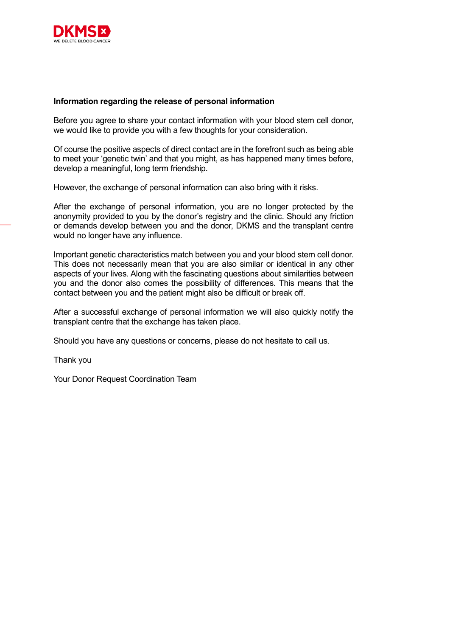

## **Information regarding the release of personal information**

Before you agree to share your contact information with your blood stem cell donor, we would like to provide you with a few thoughts for your consideration.

Of course the positive aspects of direct contact are in the forefront such as being able to meet your 'genetic twin' and that you might, as has happened many times before, develop a meaningful, long term friendship.

However, the exchange of personal information can also bring with it risks.

After the exchange of personal information, you are no longer protected by the anonymity provided to you by the donor's registry and the clinic. Should any friction or demands develop between you and the donor, DKMS and the transplant centre would no longer have any influence.

Important genetic characteristics match between you and your blood stem cell donor. This does not necessarily mean that you are also similar or identical in any other aspects of your lives. Along with the fascinating questions about similarities between you and the donor also comes the possibility of differences. This means that the contact between you and the patient might also be difficult or break off.

After a successful exchange of personal information we will also quickly notify the transplant centre that the exchange has taken place.

Should you have any questions or concerns, please do not hesitate to call us.

Thank you

Your Donor Request Coordination Team